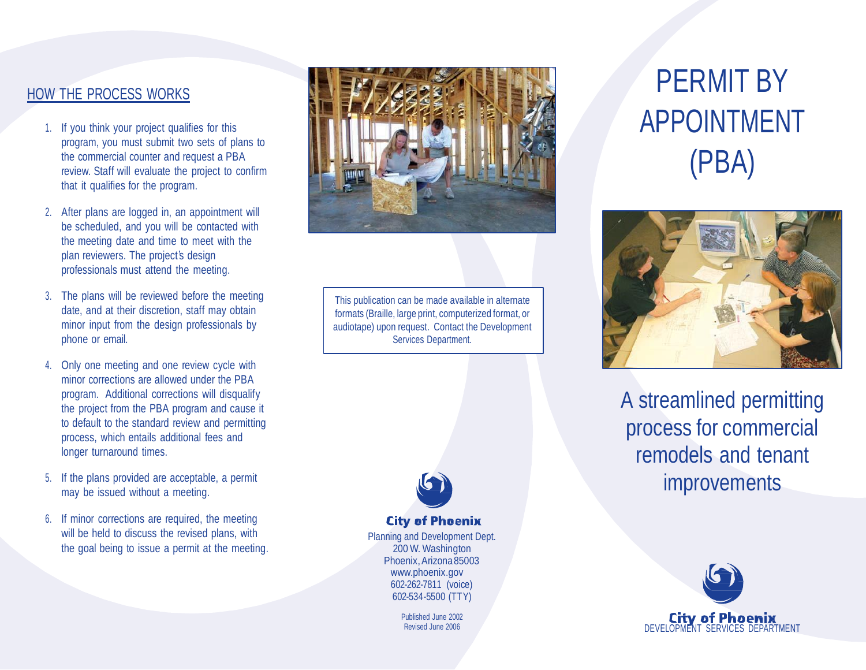### HOW THE PROCESS WORKS

- 1. If you think your project qualifies for this program, you must submit two sets of plans to the commercial counter and request a PBA review. Staff will evaluate the project to confirm that it qualifies for the program.
- 2. After plans are logged in, an appointment will be scheduled, and you will be contacted with the meeting date and time to meet with the plan reviewers. The project's design professionals must attend the meeting.
- 3. The plans will be reviewed before the meeting date, and at their discretion, staff may obtain minor input from the design professionals by phone or email.
- 4. Only one meeting and one review cycle with minor corrections are allowed under the PBA program. Additional corrections will disqualify the project from the PBA program and cause it to default to the standard review and permitting process, which entails additional fees and longer turnaround times.
- 5. If the plans provided are acceptable, a permit may be issued without a meeting.
- 6. If minor corrections are required, the meeting will be held to discuss the revised plans, with the goal being to issue a permit at the meeting.



This publication can be made available in alternate formats (Braille, large print, computerized format, or audiotape) upon request. Contact the Development Services Department.



**City of Phoenix** 

Planning and Development Dept. 200 W. Washington Phoenix,Arizona85003 [www.phoenix.gov](http://www.phoenix.gov/) 602-262-7811 (voice) 602-534-5500 (TTY)

> Published June 2002 Revised June 2006

# PERMIT BY APPOINTMENT (PBA)



A streamlined permitting process for commercial remodels and tenant improvements